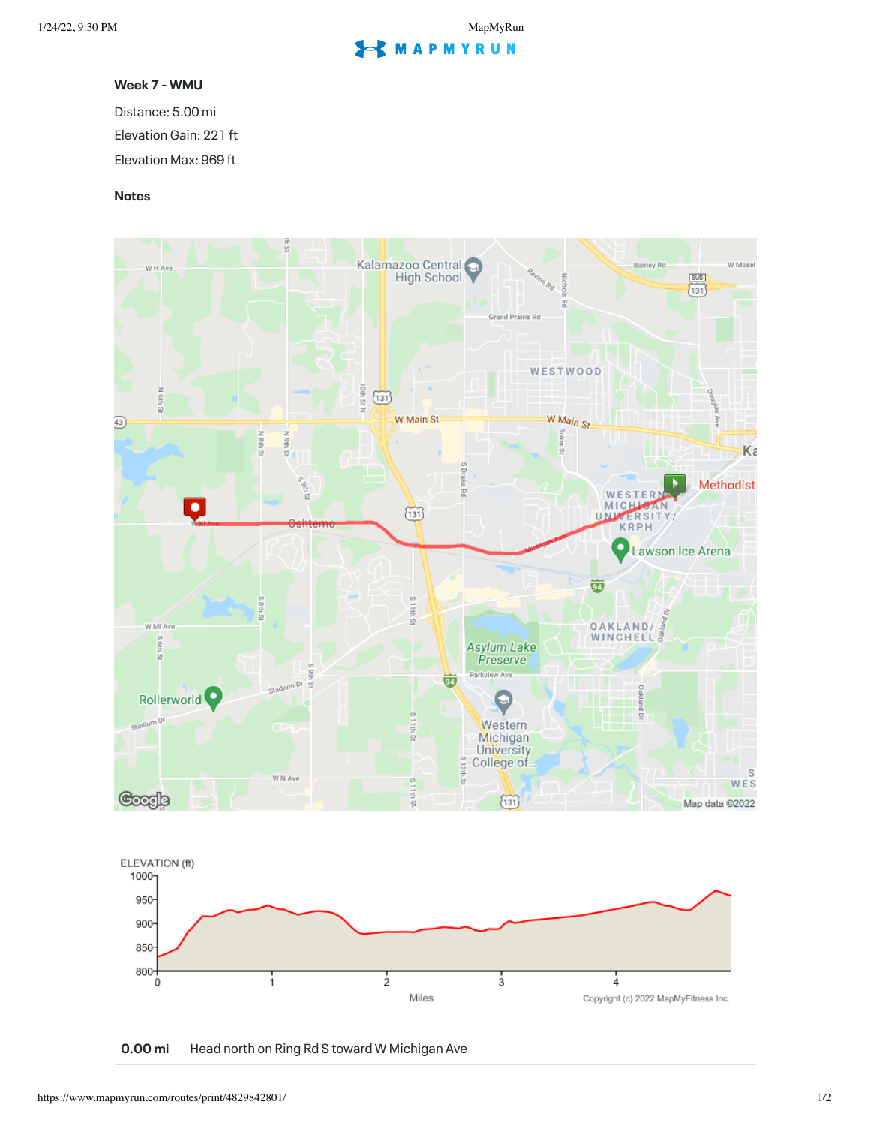## **S** MAPMYRUN

## **Week 7 - WMU**

Distance: 5.00 mi Elevation Gain: 221 ft Elevation Max: 969 ft

## **Notes**